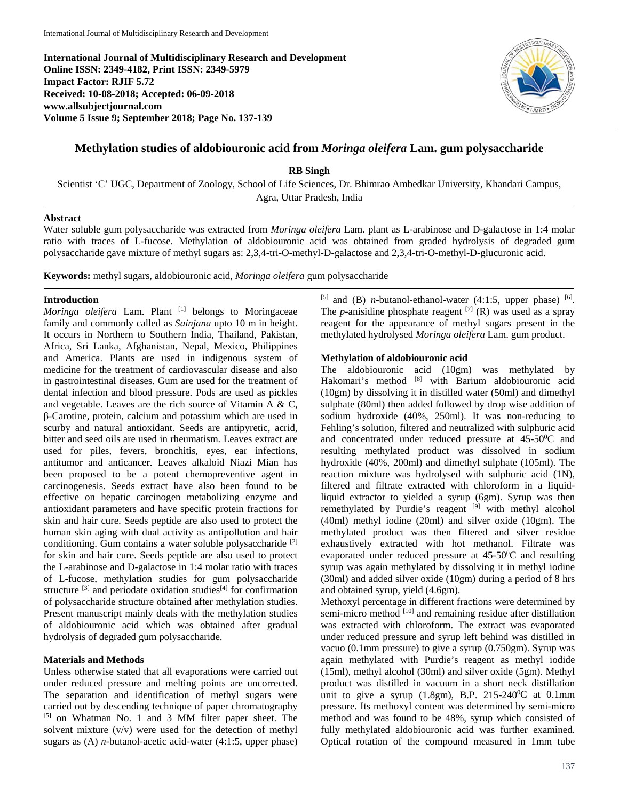**International Journal of Multidisciplinary Research and Development Online ISSN: 2349-4182, Print ISSN: 2349-5979 Impact Factor: RJIF 5.72 Received: 10-08-2018; Accepted: 06-09-2018 www.allsubjectjournal.com Volume 5 Issue 9; September 2018; Page No. 137-139**



# **Methylation studies of aldobiouronic acid from** *Moringa oleifera* **Lam. gum polysaccharide**

**RB Singh**

Scientist 'C' UGC, Department of Zoology, School of Life Sciences, Dr. Bhimrao Ambedkar University, Khandari Campus, Agra, Uttar Pradesh, India

### **Abstract**

Water soluble gum polysaccharide was extracted from *Moringa oleifera* Lam. plant as L-arabinose and D-galactose in 1:4 molar ratio with traces of L-fucose. Methylation of aldobiouronic acid was obtained from graded hydrolysis of degraded gum polysaccharide gave mixture of methyl sugars as: 2,3,4-tri-O-methyl-D-galactose and 2,3,4-tri-O-methyl-D-glucuronic acid.

**Keywords:** methyl sugars, aldobiouronic acid, *Moringa oleifera* gum polysaccharide

### **Introduction**

*Moringa oleifera* Lam. Plant [1] belongs to Moringaceae family and commonly called as *Sainjana* upto 10 m in height. It occurs in Northern to Southern India, Thailand, Pakistan, Africa, Sri Lanka, Afghanistan, Nepal, Mexico, Philippines and America. Plants are used in indigenous system of medicine for the treatment of cardiovascular disease and also in gastrointestinal diseases. Gum are used for the treatment of dental infection and blood pressure. Pods are used as pickles and vegetable. Leaves are the rich source of Vitamin A & C, β-Carotine, protein, calcium and potassium which are used in scurby and natural antioxidant. Seeds are antipyretic, acrid, bitter and seed oils are used in rheumatism. Leaves extract are used for piles, fevers, bronchitis, eyes, ear infections, antitumor and anticancer. Leaves alkaloid Niazi Mian has been proposed to be a potent chemopreventive agent in carcinogenesis. Seeds extract have also been found to be effective on hepatic carcinogen metabolizing enzyme and antioxidant parameters and have specific protein fractions for skin and hair cure. Seeds peptide are also used to protect the human skin aging with dual activity as antipollution and hair conditioning. Gum contains a water soluble polysaccharide <sup>[2]</sup> for skin and hair cure. Seeds peptide are also used to protect the L-arabinose and D-galactose in 1:4 molar ratio with traces of L-fucose, methylation studies for gum polysaccharide structure  $[3]$  and periodate oxidation studies $[4]$  for confirmation of polysaccharide structure obtained after methylation studies. Present manuscript mainly deals with the methylation studies of aldobiouronic acid which was obtained after gradual hydrolysis of degraded gum polysaccharide.

## **Materials and Methods**

Unless otherwise stated that all evaporations were carried out under reduced pressure and melting points are uncorrected. The separation and identification of methyl sugars were carried out by descending technique of paper chromatography [5] on Whatman No. 1 and 3 MM filter paper sheet. The solvent mixture (v/v) were used for the detection of methyl sugars as (A) *n-*butanol-acetic acid-water (4:1:5, upper phase) [5] and (B) *n*-butanol-ethanol-water  $(4:1:5,$  upper phase) [6]. The *p*-anisidine phosphate reagent  $^{[7]}$  (R) was used as a spray reagent for the appearance of methyl sugars present in the methylated hydrolysed *Moringa oleifera* Lam. gum product.

# **Methylation of aldobiouronic acid**

The aldobiouronic acid (10gm) was methylated by Hakomari's method [8] with Barium aldobiouronic acid (10gm) by dissolving it in distilled water (50ml) and dimethyl sulphate (80ml) then added followed by drop wise addition of sodium hydroxide (40%, 250ml). It was non-reducing to Fehling's solution, filtered and neutralized with sulphuric acid and concentrated under reduced pressure at 45-50°C and resulting methylated product was dissolved in sodium hydroxide (40%, 200ml) and dimethyl sulphate (105ml). The reaction mixture was hydrolysed with sulphuric acid (1N), filtered and filtrate extracted with chloroform in a liquidliquid extractor to yielded a syrup (6gm). Syrup was then remethylated by Purdie's reagent [9] with methyl alcohol (40ml) methyl iodine (20ml) and silver oxide (10gm). The methylated product was then filtered and silver residue exhaustively extracted with hot methanol. Filtrate was evaporated under reduced pressure at  $45-50$ <sup>o</sup>C and resulting syrup was again methylated by dissolving it in methyl iodine (30ml) and added silver oxide (10gm) during a period of 8 hrs and obtained syrup, yield (4.6gm).

Methoxyl percentage in different fractions were determined by semi-micro method <sup>[10]</sup> and remaining residue after distillation was extracted with chloroform. The extract was evaporated under reduced pressure and syrup left behind was distilled in vacuo (0.1mm pressure) to give a syrup (0.750gm). Syrup was again methylated with Purdie's reagent as methyl iodide (15ml), methyl alcohol (30ml) and silver oxide (5gm). Methyl product was distilled in vacuum in a short neck distillation unit to give a syrup  $(1.8gm)$ , B.P. 215-240<sup>0</sup>C at 0.1mm pressure. Its methoxyl content was determined by semi-micro method and was found to be 48%, syrup which consisted of fully methylated aldobiouronic acid was further examined. Optical rotation of the compound measured in 1mm tube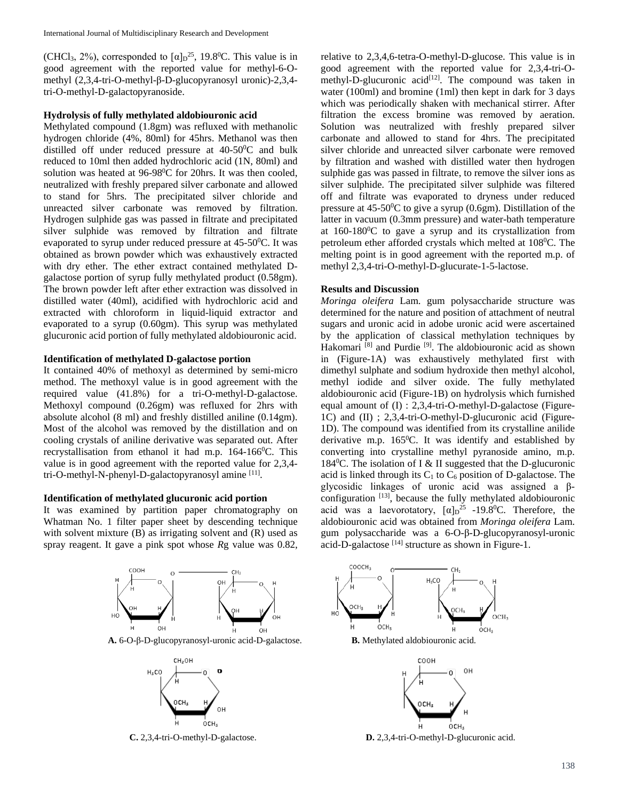(CHCl<sub>3</sub>, 2%), corresponded to  $[\alpha]_D^{25}$ , 19.8<sup>0</sup>C. This value is in good agreement with the reported value for methyl-6-Omethyl (2,3,4-tri-O-methyl-β-D-glucopyranosyl uronic)-2,3,4 tri-O-methyl-D-galactopyranoside.

### **Hydrolysis of fully methylated aldobiouronic acid**

Methylated compound (1.8gm) was refluxed with methanolic hydrogen chloride (4%, 80ml) for 45hrs. Methanol was then distilled off under reduced pressure at 40-50°C and bulk reduced to 10ml then added hydrochloric acid (1N, 80ml) and solution was heated at 96-98<sup>0</sup>C for 20hrs. It was then cooled, neutralized with freshly prepared silver carbonate and allowed to stand for 5hrs. The precipitated silver chloride and unreacted silver carbonate was removed by filtration. Hydrogen sulphide gas was passed in filtrate and precipitated silver sulphide was removed by filtration and filtrate evaporated to syrup under reduced pressure at  $45{\text -}50^0$ C. It was obtained as brown powder which was exhaustively extracted with dry ether. The ether extract contained methylated Dgalactose portion of syrup fully methylated product (0.58gm). The brown powder left after ether extraction was dissolved in distilled water (40ml), acidified with hydrochloric acid and extracted with chloroform in liquid-liquid extractor and evaporated to a syrup (0.60gm). This syrup was methylated glucuronic acid portion of fully methylated aldobiouronic acid.

#### **Identification of methylated D-galactose portion**

It contained 40% of methoxyl as determined by semi-micro method. The methoxyl value is in good agreement with the required value (41.8%) for a tri-O-methyl-D-galactose. Methoxyl compound (0.26gm) was refluxed for 2hrs with absolute alcohol (8 ml) and freshly distilled aniline (0.14gm). Most of the alcohol was removed by the distillation and on cooling crystals of aniline derivative was separated out. After recrystallisation from ethanol it had m.p. 164-166<sup>0</sup>C. This value is in good agreement with the reported value for 2,3,4 tri-O-methyl-N-phenyl-D-galactopyranosyl amine [11].

#### **Identification of methylated glucuronic acid portion**

It was examined by partition paper chromatography on Whatman No. 1 filter paper sheet by descending technique with solvent mixture (B) as irrigating solvent and (R) used as spray reagent. It gave a pink spot whose *R*g value was 0.82,



**A.** 6-O-β-D-glucopyranosyl-uronic acid-D-galactose. **B.** Methylated aldobiouronic acid.



relative to 2,3,4,6-tetra-O-methyl-D-glucose. This value is in good agreement with the reported value for 2,3,4-tri-Omethyl-D-glucuronic acid<sup>[12]</sup>. The compound was taken in water (100ml) and bromine (1ml) then kept in dark for 3 days which was periodically shaken with mechanical stirrer. After filtration the excess bromine was removed by aeration. Solution was neutralized with freshly prepared silver carbonate and allowed to stand for 4hrs. The precipitated silver chloride and unreacted silver carbonate were removed by filtration and washed with distilled water then hydrogen sulphide gas was passed in filtrate, to remove the silver ions as silver sulphide. The precipitated silver sulphide was filtered off and filtrate was evaporated to dryness under reduced pressure at  $45-50$ <sup>o</sup>C to give a syrup (0.6gm). Distillation of the latter in vacuum (0.3mm pressure) and water-bath temperature at  $160-180$ <sup>o</sup>C to gave a syrup and its crystallization from petroleum ether afforded crystals which melted at 108<sup>0</sup>C. The melting point is in good agreement with the reported m.p. of methyl 2,3,4-tri-O-methyl-D-glucurate-1-5-lactose.

#### **Results and Discussion**

*Moringa oleifera* Lam. gum polysaccharide structure was determined for the nature and position of attachment of neutral sugars and uronic acid in adobe uronic acid were ascertained by the application of classical methylation techniques by Hakomari<sup>[8]</sup> and Purdie<sup>[9]</sup>. The aldobiouronic acid as shown in (Figure-1A) was exhaustively methylated first with dimethyl sulphate and sodium hydroxide then methyl alcohol, methyl iodide and silver oxide. The fully methylated aldobiouronic acid (Figure-1B) on hydrolysis which furnished equal amount of (I) : 2,3,4-tri-O-methyl-D-galactose (Figure-1C) and (II) ; 2,3,4-tri-O-methyl-D-glucuronic acid (Figure-1D). The compound was identified from its crystalline anilide derivative m.p. 165<sup>0</sup>C. It was identify and established by converting into crystalline methyl pyranoside amino, m.p. 184<sup>0</sup>C. The isolation of I & II suggested that the D-glucuronic acid is linked through its  $C_1$  to  $C_6$  position of D-galactose. The glycosidic linkages of uronic acid was assigned a βconfiguration [13], because the fully methylated aldobiouronic acid was a laevorotatory,  $[\alpha]_D^{25}$  -19.8<sup>0</sup>C. Therefore, the aldobiouronic acid was obtained from *Moringa oleifera* Lam. gum polysaccharide was a 6-O-β-D-glucopyranosyl-uronic acid-D-galactose [14] structure as shown in Figure-1.





**C.** 2,3,4-tri-O-methyl-D-galactose. **D.** 2,3,4-tri-O-methyl-D-glucuronic acid.